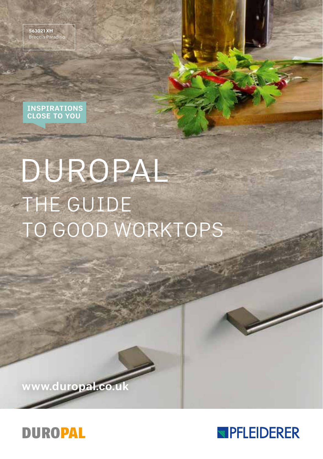S63021 XM reccia Paradis

## INSPIRATIONS CLOSE TO YOU

# DUROPAL THE GUIDE TO GOOD WORKTOPS

www.duropal.co.u



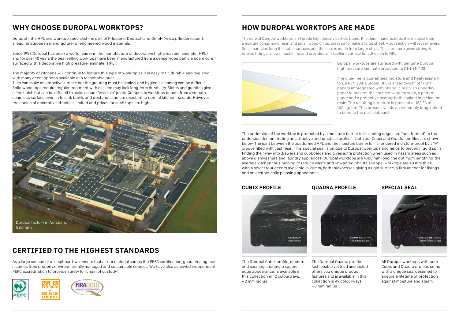# WHY CHOOSE DUROPAL WORKTOPS?

Duropal – the HPL and worktop specialist – is part of Pfleiderer Deutschland GmbH (www.pfleiderer.com), a leading European manufacturer of engineered wood materials.

Since 1958 Duropal has been a world leader in the manufacture of decorative high pressure laminate (HPL), and for over 40 years the best selling worktops have been manufactured from a dense wood particle board core surfaced with a decorative high pressure laminate (HPL).

The majority of kitchens will continue to feature this type of worktop as it is easy to fit, durable and hygienic with many decor options available at a reasonable price.

Tiles can make an attractive surface but the grouting must be sealed, and hygienic cleaning can be difficult. Solid wood tops require regular treatment with oils and may lack long-term durability. Slates and granites give a fine finish but can be difficult to make secure "invisible" joints. Composite worktops benefit from a smooth, seamless surface even in to sink bowls and upstands and are resistant to normal kitchen hazards. However, the choice of decorative effects is limited and prices for such tops are high.



# CERTIFIED TO THE HIGHEST STANDARDS

As a large consumer of chipboard, we ensure that all our material carries the PEFC certification, guaranteeing that it comes from properly environmentally managed and sustainable sources. We have also achieved independent PEFC accreditation to provide surety for 'chain of custody'.



# HOW DUROPAL WORKTOPS ARE MADE

The core of Duropal worktops is E1 grade high density particle board. Pfleiderer manufactures this material from a mixture comprising resin and small wood chips, pressed to make a large sheet. A cut section will reveal layers. Small particles form the outer surfaces and the core is made from larger chips. This structure gives strength, retains fittings, allows machining and provides an excellent surface for adhesion to HPL.



Duropal worktops are surfaced with genuine Duropal high pressure laminate produced to DIN-EN 438.

The glue-line is guaranteed moisture and heat resistant to DIN-EN 204. Duropal HPL is a "sandwich" of "kraft" papers impregnated with phenolic resin, an underlay paper to prevent the core showing through, a pattern paper and a protective overlay both soaked in melamine resin. The resulting structure is pressed at 150 °C at 100 kg/cm². This process yields an incredibly tough sheet to bond to the particleboard.

The underside of the worktop is protected by a moisture barrier foil. Leading edges are "postformed" to the underside demonstrating an attractive and practical profile — both our Cubix and Quadra profiles are shown below. The joint between the postformed HPL and the moisture barrier foil is rendered moisture-proof by a "V" groove filled with cast resin. This special seal is unique to Duropal worktops and helps to prevent liquid spills finding their way into drawers and cupboards and gives extra protection when used in hazard areas such as above dishwashers and laundry appliances. Duropal worktops are 4,100 mm long, the optimum length for the average kitchen thus helping to reduce waste and unwanted offcuts. Duropal worktops are 40 mm thick, with a select four decors available in 20mm, both thicknesses giving a rigid surface, a firm anchor for fixings and an aesthetically pleasing appearance.

QUADRA PROFILE

## CUBIX PROFILE



The Duropal Cubix profile, modern and exciting creating a square edge appearance, is available in this collection in 12 colourways. – 2 mm radius



The Duropal Quadra profile, fashionable yet tried and tested, offers you unique product features and is available in this collection in 49 colourways. – 3 mm radius

## SPECIAL SEAL



All Duropal worktops with both Cubix and Quadra profiles come with a unique seal designed to ensure a lifetime of protection against moisture and steam.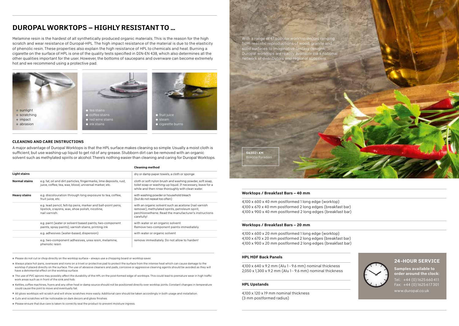# DUROPAL WORKTOPS – HIGHLY RESISTANT TO ...

Melamine resin is the hardest of all synthetically produced organic materials. This is the reason for the high scratch and wear resistance of Duropal-HPL. The high impact resistance of the material is due to the elasticity of phenolic resin. These properties also explain the high resistance of HPL to chemicals and heat. Burning a cigarette on the surface of HPL is one of the quality tests specified in DIN-EN 438, which also determines all the other qualities important for the user. However, the bottoms of saucepans and ovenware can become extremely hot and we recommend using a protective pad.







#### CLEANING AND CARE INSTRUCTIONS

A major advantage of Duropal Worktops is that the HPL surface makes cleaning so simple. Usually a moist cloth is sufficient, but use washing-up liquid to get rid of any grease. Stubborn dirt can be removed with an organic solvent such as methylated spirits or alcohol. There's nothing easier than cleaning and caring for Duropal Worktops.

|                      |                                                                                                                                 | <b>Cleaning method</b>                                                                                                                                                          |
|----------------------|---------------------------------------------------------------------------------------------------------------------------------|---------------------------------------------------------------------------------------------------------------------------------------------------------------------------------|
| <b>Light stains</b>  |                                                                                                                                 | dry or damp paper towels, a cloth or sponge                                                                                                                                     |
| <b>Normal stains</b> | e.g. fat, oil and dirt particles, fingermarks, lime deposits, rust,<br>juice, coffee, tea, wax, blood, universal marker, etc.   | cloth or soft nylon brush and washing powder, soft soap,<br>toilet soap or washing-up liquid. If necessary, leave for a<br>while and then rinse thoroughly with clean water.    |
| <b>Heavy stains</b>  | e.g. discolouration through long exposure to tea, coffee,<br>fruit juice, etc.                                                  | with washing powder or household bleach<br>(but do not repeat too often)                                                                                                        |
|                      | e.g. lead pencil, felt-tip pens, marker and ball-point pens,<br>lipstick, crayons, wax, shoe polish, nicotine,<br>nail varnish. | with an organic solvent such as acetone (nail varnish<br>remover), methylated spirits, petroleum spirit,<br>perchloroethene. Read the manufacturer's instructions<br>carefully! |
|                      | e.g. paint (water or solvent based paints, two-component<br>paints, spray paints), varnish stains, printing ink                 | with water or an organic solvent.<br>Remove two-component paints immediately.                                                                                                   |
|                      | e.g. adhesives (water-based, dispersion)                                                                                        | with water or organic solvent                                                                                                                                                   |
|                      | e.g. two-component adhesives, urea resin, melamine,<br>phenolic resin                                                           | remove immediately. Do not allow to harden!                                                                                                                                     |

● Please do not cut or chop directly on the worktop surface – always use a chopping board or worktop saver.

- Always place hot pans, ovenware and irons on a trivet or protective pad to protect the surface from the intense heat which can cause damage to the worktop if placed directly on the surface. The use of abrasive cleaners and pads, corrosive or aggressive cleaning agents should be avoided as they will have a detrimental effect on the worktop surface.
- The use of PVC aprons may possibly affect the durability of the HPL on the post-formed edge of worktops. This could lead to premature wear in high traffic work areas such as in front of the sink and hob.
- Kettles, coffee machines, fryers and any other heat or damp source should not be positioned directly over worktop joints. Constant changes in temperature could cause the joint to move and eventually fail.
- All gloss worktops will scratch and will show scratches more easily. Additional care should be taken accordingly in both usage and installation.
- Cuts and scratches will be noticeable on dark decors and gloss finishes.

● Please ensure that due care is taken to correctly seal the product to prevent moisture ingress.



#### Worktops / Breakfast Bars – 40 mm

4,100 x 600 x 40 mm postformed 1 long edge (worktop) 4,100 x 670 x 40 mm postformed 2 long edges (breakfast bar) 4,100 x 900 x 40 mm postformed 2 long edges (breakfast bar)

#### Worktops / Breakfast Bars – 20 mm

4,100 x 600 x 20 mm postformed 1 long edge (worktop) 4,100 x 670 x 20 mm postformed 2 long edges (breakfast bar) 4,100 x 900 x 20 mm postformed 2 long edges (breakfast bar)

#### HPL MDF Back Panels

4,100 x 640 x 9.2 mm (Alu 1 - 9.6 mm) nominal thickness 2,050 x 1,300 x 9.2 mm (Alu 1 - 9.6 mm) nominal thickness

#### HPL Upstands

4,100 x 120 x 19 mm nominal thickness (3 mm postformed radius)



order around the clock: Tel.:  $+44(0)1625660411$ Fax: +44 (0) 1625 617 301 www.duropal.co.uk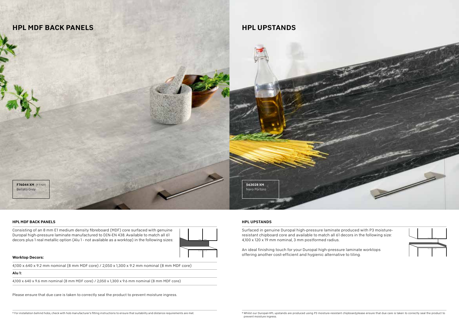

#### HPL MDF BACK PANELS

Consisting of an 8 mm E1 medium density fibreboard (MDF) core surfaced with genuine Duropal high-pressure laminate manufactured to DIN-EN 438. Available to match all 61 decors plus 1 real metallic option (Alu 1 - not available as a worktop) in the following sizes:



#### Worktop Decors:

4,100 x 640 x 9.2 mm nominal (8 mm MDF core) / 2,050 x 1,300 x 9.2 mm nominal (8 mm MDF core)

#### Alu 1:

4,100 x 640 x 9.6 mm nominal (8 mm MDF core) / 2,050 x 1,300 x 9.6 mm nominal (8 mm MDF core)

Please ensure that due care is taken to correctly seal the product to prevent moisture ingress.

#### HPL UPSTANDS

Surfaced in genuine Duropal high-pressure laminate produced with P3 moistureresistant chipboard core and available to match all 61 decors in the following size: 4,100 x 120 x 19 mm nominal, 3 mm postformed radius.



An ideal finishing touch for your Duropal high-pressure laminate worktops offering another cost-efficient and hygienic alternative to tiling.